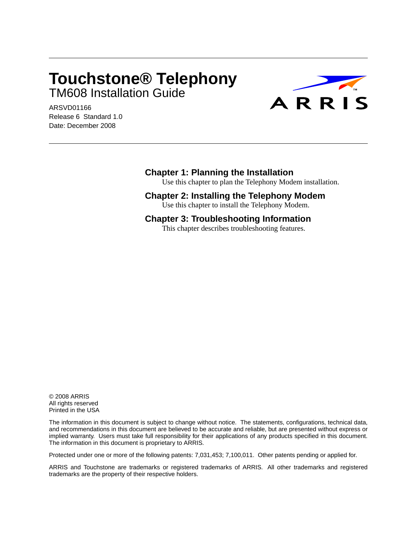### **Touchstone® Telephony** TM608 Installation Guide



ARSVD01166 Release 6 Standard 1.0 Date: December 2008

**Chapter 1: Planning the Installation**

Use this chapter to plan the Telephony Modem installation.

### **Chapter 2: Installing the Telephony Modem** Use this chapter to install the Telephony Modem.

### **Chapter 3: Troubleshooting Information**

This chapter describes troubleshooting features.

© 2008 ARRIS All rights reserved Printed in the USA

The information in this document is subject to change without notice. The statements, configurations, technical data, and recommendations in this document are believed to be accurate and reliable, but are presented without express or implied warranty. Users must take full responsibility for their applications of any products specified in this document. The information in this document is proprietary to ARRIS.

Protected under one or more of the following patents: 7,031,453; 7,100,011. Other patents pending or applied for.

ARRIS and Touchstone are trademarks or registered trademarks of ARRIS. All other trademarks and registered trademarks are the property of their respective holders.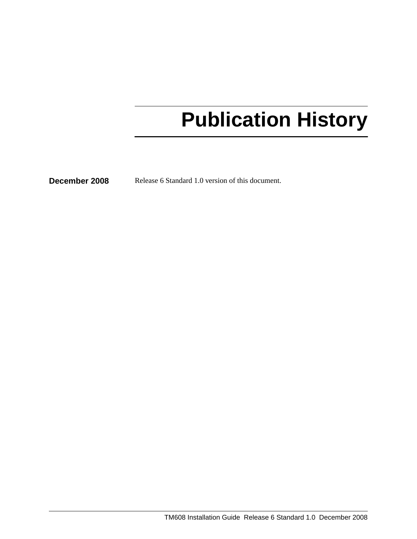## **Publication History**

**December 2008** Release 6 Standard 1.0 version of this document.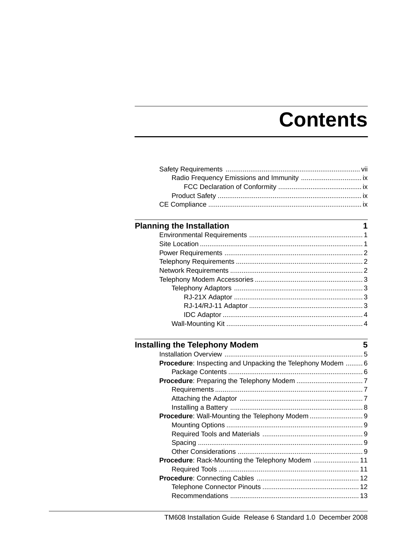## **Contents**

 $\mathbf{1}$ 

### **Planning the Installation**

### **Installing the Telephony Modem** 5 Procedure: Inspecting and Unpacking the Telephony Modem ......... 6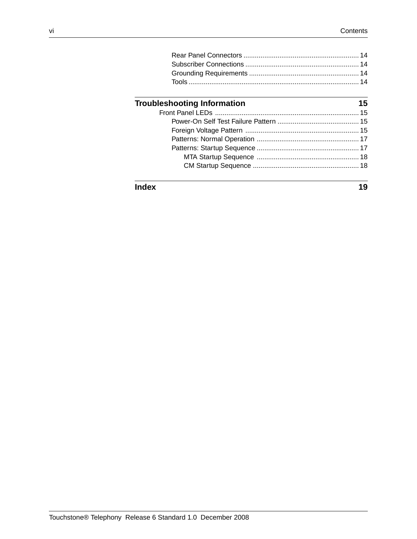### **Troubleshooting Information 15**

**Index 19**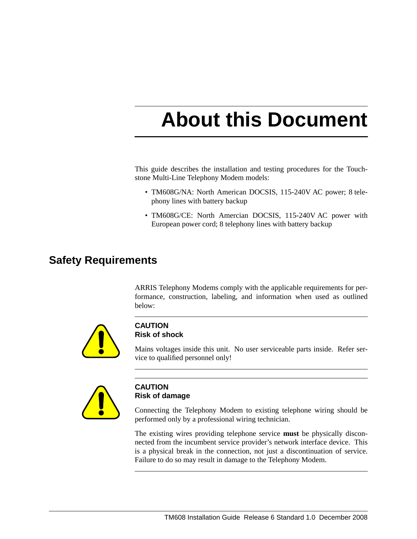## **About this Document**

This guide describes the installation and testing procedures for the Touchstone Multi-Line Telephony Modem models:

- TM608G/NA: North American DOCSIS, 115-240V AC power; 8 telephony lines with battery backup
- TM608G/CE: North Amercian DOCSIS, 115-240V AC power with European power cord; 8 telephony lines with battery backup

### **Safety Requirements**

ARRIS Telephony Modems comply with the applicable requirements for performance, construction, labeling, and information when used as outlined below:



### **CAUTION Risk of shock**

Mains voltages inside this unit. No user serviceable parts inside. Refer service to qualified personnel only!



### **CAUTION Risk of damage**

Connecting the Telephony Modem to existing telephone wiring should be performed only by a professional wiring technician.

The existing wires providing telephone service **must** be physically disconnected from the incumbent service provider's network interface device. This is a physical break in the connection, not just a discontinuation of service. Failure to do so may result in damage to the Telephony Modem.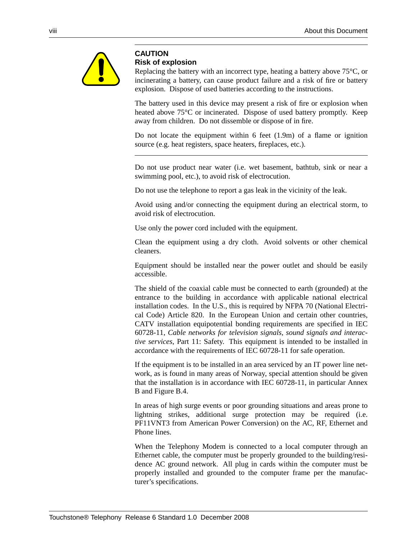

### **CAUTION Risk of explosion**

Replacing the battery with an incorrect type, heating a battery above 75°C, or incinerating a battery, can cause product failure and a risk of fire or battery explosion. Dispose of used batteries according to the instructions.

The battery used in this device may present a risk of fire or explosion when heated above 75°C or incinerated. Dispose of used battery promptly. Keep away from children. Do not dissemble or dispose of in fire.

Do not locate the equipment within 6 feet (1.9m) of a flame or ignition source (e.g. heat registers, space heaters, fireplaces, etc.).

Do not use product near water (i.e. wet basement, bathtub, sink or near a swimming pool, etc.), to avoid risk of electrocution.

Do not use the telephone to report a gas leak in the vicinity of the leak.

Avoid using and/or connecting the equipment during an electrical storm, to avoid risk of electrocution.

Use only the power cord included with the equipment.

Clean the equipment using a dry cloth. Avoid solvents or other chemical cleaners.

Equipment should be installed near the power outlet and should be easily accessible.

The shield of the coaxial cable must be connected to earth (grounded) at the entrance to the building in accordance with applicable national electrical installation codes. In the U.S., this is required by NFPA 70 (National Electrical Code) Article 820. In the European Union and certain other countries, CATV installation equipotential bonding requirements are specified in IEC 60728-11, *Cable networks for television signals, sound signals and interactive services*, Part 11: Safety. This equipment is intended to be installed in accordance with the requirements of IEC 60728-11 for safe operation.

If the equipment is to be installed in an area serviced by an IT power line network, as is found in many areas of Norway, special attention should be given that the installation is in accordance with IEC 60728-11, in particular Annex B and Figure B.4.

In areas of high surge events or poor grounding situations and areas prone to lightning strikes, additional surge protection may be required (i.e. PF11VNT3 from American Power Conversion) on the AC, RF, Ethernet and Phone lines.

When the Telephony Modem is connected to a local computer through an Ethernet cable, the computer must be properly grounded to the building/residence AC ground network. All plug in cards within the computer must be properly installed and grounded to the computer frame per the manufacturer's specifications.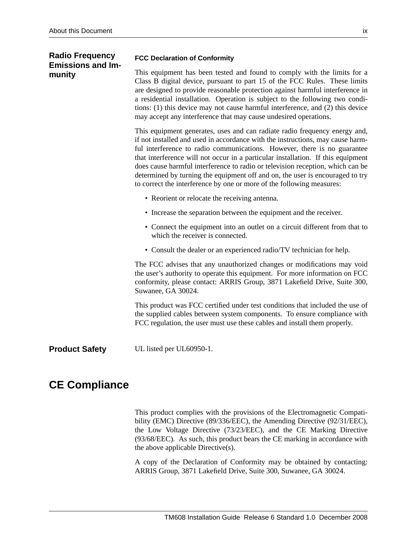### **Radio Frequency Emissions and Immunity**

### **FCC Declaration of Conformity**

This equipment has been tested and found to comply with the limits for a Class B digital device, pursuant to part 15 of the FCC Rules. These limits are designed to provide reasonable protection against harmful interference in a residential installation. Operation is subject to the following two conditions: (1) this device may not cause harmful interference, and (2) this device may accept any interference that may cause undesired operations.

This equipment generates, uses and can radiate radio frequency energy and, if not installed and used in accordance with the instructions, may cause harmful interference to radio communications. However, there is no guarantee that interference will not occur in a particular installation. If this equipment does cause harmful interference to radio or television reception, which can be determined by turning the equipment off and on, the user is encouraged to try to correct the interference by one or more of the following measures:

- Reorient or relocate the receiving antenna.
- Increase the separation between the equipment and the receiver.
- Connect the equipment into an outlet on a circuit different from that to which the receiver is connected.
- Consult the dealer or an experienced radio/TV technician for help.

The FCC advises that any unauthorized changes or modifications may void the user's authority to operate this equipment. For more information on FCC conformity, please contact: ARRIS Group, 3871 Lakefield Drive, Suite 300, Suwanee, GA 30024.

This product was FCC certified under test conditions that included the use of the supplied cables between system components. To ensure compliance with FCC regulation, the user must use these cables and install them properly.

**Product Safety** UL listed per UL60950-1.

### **CE Compliance**

This product complies with the provisions of the Electromagnetic Compatibility (EMC) Directive (89/336/EEC), the Amending Directive (92/31/EEC), the Low Voltage Directive (73/23/EEC), and the CE Marking Directive (93/68/EEC). As such, this product bears the CE marking in accordance with the above applicable Directive(s).

A copy of the Declaration of Conformity may be obtained by contacting: ARRIS Group, 3871 Lakefield Drive, Suite 300, Suwanee, GA 30024.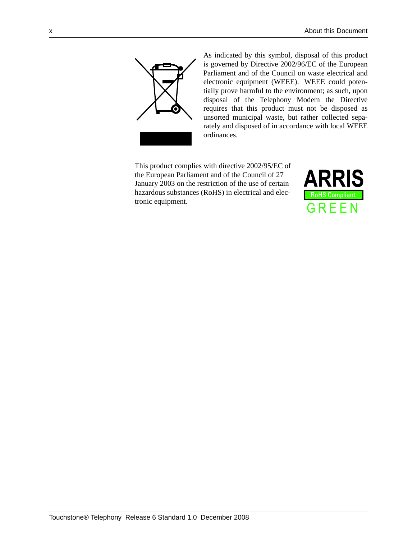

As indicated by this symbol, disposal of this product is governed by Directive 2002/96/EC of the European Parliament and of the Council on waste electrical and electronic equipment (WEEE). WEEE could potentially prove harmful to the environment; as such, upon disposal of the Telephony Modem the Directive requires that this product must not be disposed as unsorted municipal waste, but rather collected separately and disposed of in accordance with local WEEE ordinances.

This product complies with directive 2002/95/EC of the European Parliament and of the Council of 27 January 2003 on the restriction of the use of certain hazardous substances (RoHS) in electrical and electronic equipment.

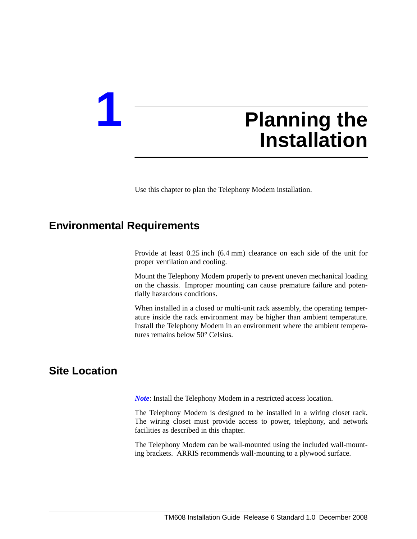## **1 Planning the Installation**

Use this chapter to plan the Telephony Modem installation.

### **Environmental Requirements**

Provide at least 0.25 inch (6.4 mm) clearance on each side of the unit for proper ventilation and cooling.

Mount the Telephony Modem properly to prevent uneven mechanical loading on the chassis. Improper mounting can cause premature failure and potentially hazardous conditions.

When installed in a closed or multi-unit rack assembly, the operating temperature inside the rack environment may be higher than ambient temperature. Install the Telephony Modem in an environment where the ambient temperatures remains below 50° Celsius.

### **Site Location**

*Note*: Install the Telephony Modem in a restricted access location.

The Telephony Modem is designed to be installed in a wiring closet rack. The wiring closet must provide access to power, telephony, and network facilities as described in this chapter.

The Telephony Modem can be wall-mounted using the included wall-mounting brackets. ARRIS recommends wall-mounting to a plywood surface.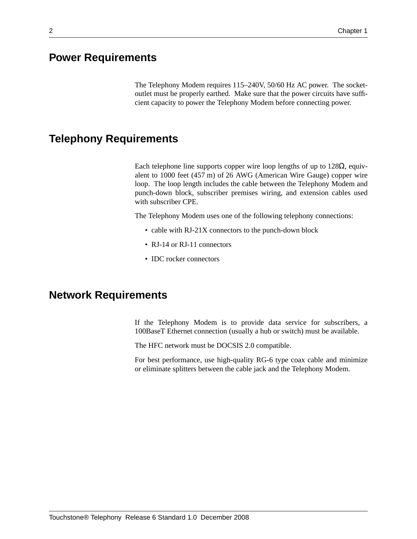### **Power Requirements**

The Telephony Modem requires 115–240V, 50/60 Hz AC power. The socketoutlet must be properly earthed. Make sure that the power circuits have sufficient capacity to power the Telephony Modem before connecting power.

### **Telephony Requirements**

Each telephone line supports copper wire loop lengths of up to 128 $\Omega$ , equivalent to 1000 feet (457 m) of 26 AWG (American Wire Gauge) copper wire loop. The loop length includes the cable between the Telephony Modem and punch-down block, subscriber premises wiring, and extension cables used with subscriber CPE.

The Telephony Modem uses one of the following telephony connections:

- cable with RJ-21X connectors to the punch-down block
- RJ-14 or RJ-11 connectors
- **IDC** rocker connectors

### **Network Requirements**

If the Telephony Modem is to provide data service for subscribers, a 100BaseT Ethernet connection (usually a hub or switch) must be available.

The HFC network must be DOCSIS 2.0 compatible.

For best performance, use high-quality RG-6 type coax cable and minimize or eliminate splitters between the cable jack and the Telephony Modem.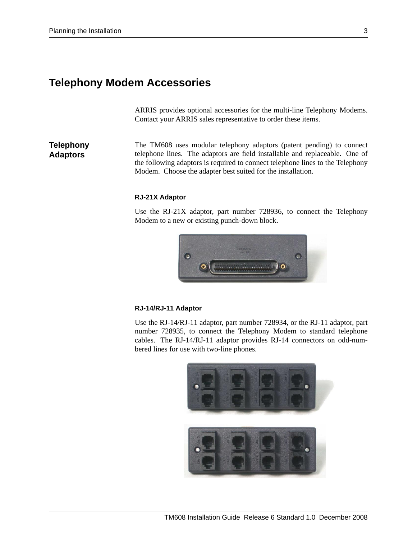### **Telephony Modem Accessories**

ARRIS provides optional accessories for the multi-line Telephony Modems. Contact your ARRIS sales representative to order these items.

**Telephony Adaptors** The TM608 uses modular telephony adaptors (patent pending) to connect telephone lines. The adaptors are field installable and replaceable. One of the following adaptors is required to connect telephone lines to the Telephony Modem. Choose the adapter best suited for the installation.

### **RJ-21X Adaptor**

Use the RJ-21X adaptor, part number 728936, to connect the Telephony Modem to a new or existing punch-down block.



### **RJ-14/RJ-11 Adaptor**

Use the RJ-14/RJ-11 adaptor, part number 728934, or the RJ-11 adaptor, part number 728935, to connect the Telephony Modem to standard telephone cables. The RJ-14/RJ-11 adaptor provides RJ-14 connectors on odd-numbered lines for use with two-line phones.

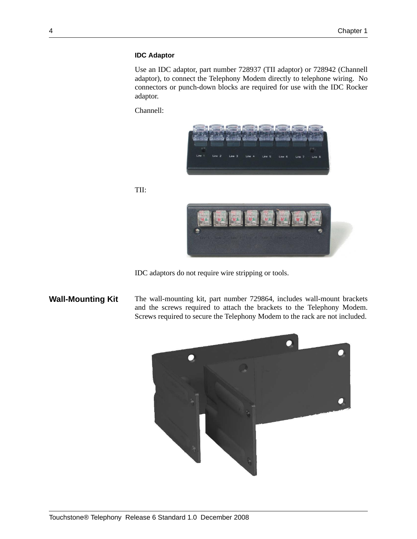### **IDC Adaptor**

Use an IDC adaptor, part number 728937 (TII adaptor) or 728942 (Channell adaptor), to connect the Telephony Modem directly to telephone wiring. No connectors or punch-down blocks are required for use with the IDC Rocker adaptor.

Channell:



TII:



IDC adaptors do not require wire stripping or tools.

Wall-Mounting Kit The wall-mounting kit, part number 729864, includes wall-mount brackets and the screws required to attach the brackets to the Telephony Modem. Screws required to secure the Telephony Modem to the rack are not included.

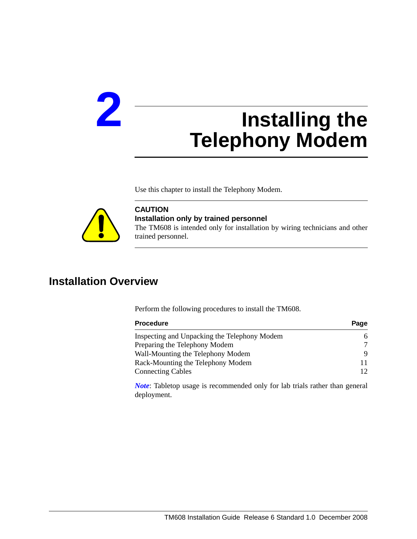## **2 Installing the Telephony Modem**

Use this chapter to install the Telephony Modem.



### **CAUTION Installation only by trained personnel**

The TM608 is intended only for installation by wiring technicians and other trained personnel.

### **Installation Overview**

Perform the following procedures to install the TM608.

| <b>Procedure</b>                             | Page |  |
|----------------------------------------------|------|--|
| Inspecting and Unpacking the Telephony Modem | 6.   |  |
| Preparing the Telephony Modem                |      |  |
| Wall-Mounting the Telephony Modem            |      |  |
| Rack-Mounting the Telephony Modem            |      |  |
| <b>Connecting Cables</b>                     |      |  |

*Note*: Tabletop usage is recommended only for lab trials rather than general deployment.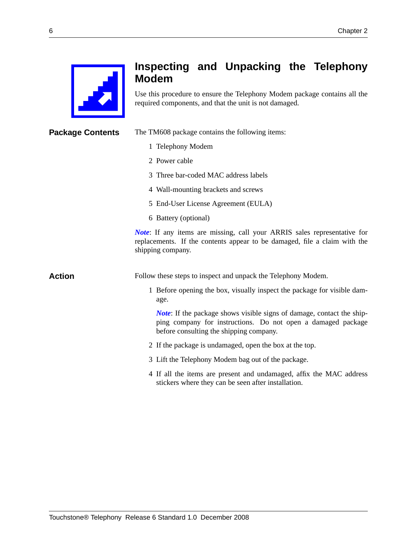

### **Inspecting and Unpacking the Telephony Modem**

Use this procedure to ensure the Telephony Modem package contains all the required components, and that the unit is not damaged.

| <b>Package Contents</b> | The TM608 package contains the following items:                                                                                                                                         |  |  |  |  |  |
|-------------------------|-----------------------------------------------------------------------------------------------------------------------------------------------------------------------------------------|--|--|--|--|--|
|                         | 1 Telephony Modem                                                                                                                                                                       |  |  |  |  |  |
|                         | 2 Power cable                                                                                                                                                                           |  |  |  |  |  |
|                         | 3 Three bar-coded MAC address labels                                                                                                                                                    |  |  |  |  |  |
|                         | 4 Wall-mounting brackets and screws                                                                                                                                                     |  |  |  |  |  |
|                         | 5 End-User License Agreement (EULA)                                                                                                                                                     |  |  |  |  |  |
|                         | 6 Battery (optional)                                                                                                                                                                    |  |  |  |  |  |
|                         | <b>Note:</b> If any items are missing, call your ARRIS sales representative for<br>replacements. If the contents appear to be damaged, file a claim with the<br>shipping company.       |  |  |  |  |  |
| <b>Action</b>           | Follow these steps to inspect and unpack the Telephony Modem.                                                                                                                           |  |  |  |  |  |
|                         | 1 Before opening the box, visually inspect the package for visible dam-<br>age.                                                                                                         |  |  |  |  |  |
|                         | <b>Note:</b> If the package shows visible signs of damage, contact the ship-<br>ping company for instructions. Do not open a damaged package<br>before consulting the shipping company. |  |  |  |  |  |
|                         | 2 If the package is undamaged, open the box at the top.                                                                                                                                 |  |  |  |  |  |
|                         | 3 Lift the Telephony Modem bag out of the package.                                                                                                                                      |  |  |  |  |  |
|                         | 4 If all the items are present and undamaged, affix the MAC address<br>stickers where they can be seen after installation.                                                              |  |  |  |  |  |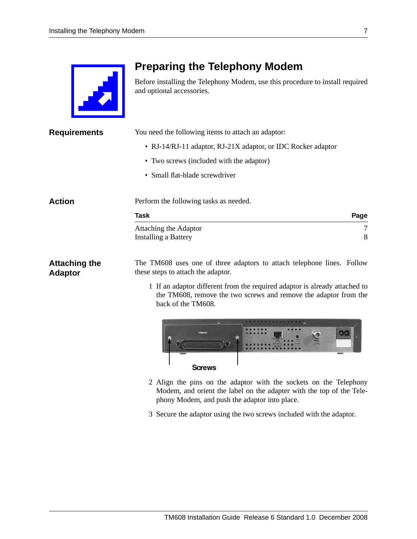

### **Preparing the Telephony Modem**

Before installing the Telephony Modem, use this procedure to install required and optional accessories.

| <b>Requirements</b>                    | You need the following items to attach an adaptor:                                                                                                                   |      |  |  |  |  |  |
|----------------------------------------|----------------------------------------------------------------------------------------------------------------------------------------------------------------------|------|--|--|--|--|--|
|                                        | • RJ-14/RJ-11 adaptor, RJ-21X adaptor, or IDC Rocker adaptor                                                                                                         |      |  |  |  |  |  |
|                                        | • Two screws (included with the adaptor)                                                                                                                             |      |  |  |  |  |  |
|                                        | • Small flat-blade screwdriver                                                                                                                                       |      |  |  |  |  |  |
| <b>Action</b>                          | Perform the following tasks as needed.                                                                                                                               |      |  |  |  |  |  |
|                                        | Task                                                                                                                                                                 | Page |  |  |  |  |  |
|                                        | Attaching the Adaptor                                                                                                                                                | 7    |  |  |  |  |  |
|                                        | <b>Installing a Battery</b>                                                                                                                                          | 8    |  |  |  |  |  |
| <b>Attaching the</b><br><b>Adaptor</b> | The TM608 uses one of three adaptors to attach telephone lines. Follow<br>these steps to attach the adaptor.                                                         |      |  |  |  |  |  |
|                                        | 1 If an adaptor different from the required adaptor is already attached to<br>the TM608, remove the two screws and remove the adaptor from the<br>back of the TM608. |      |  |  |  |  |  |
|                                        | .                                                                                                                                                                    |      |  |  |  |  |  |



- 2 Align the pins on the adaptor with the sockets on the Telephony Modem, and orient the label on the adapter with the top of the Telephony Modem, and push the adaptor into place.
- 3 Secure the adaptor using the two screws included with the adaptor.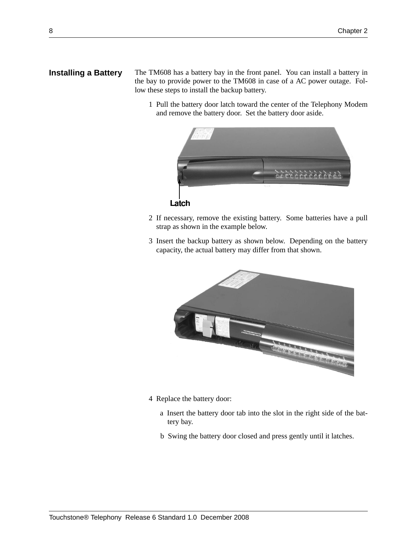**Installing a Battery** The TM608 has a battery bay in the front panel. You can install a battery in the bay to provide power to the TM608 in case of a AC power outage. Follow these steps to install the backup battery.

> 1 Pull the battery door latch toward the center of the Telephony Modem and remove the battery door. Set the battery door aside.



- 2 If necessary, remove the existing battery. Some batteries have a pull strap as shown in the example below.
- 3 Insert the backup battery as shown below. Depending on the battery capacity, the actual battery may differ from that shown.



- 4 Replace the battery door:
	- a Insert the battery door tab into the slot in the right side of the battery bay.
	- b Swing the battery door closed and press gently until it latches.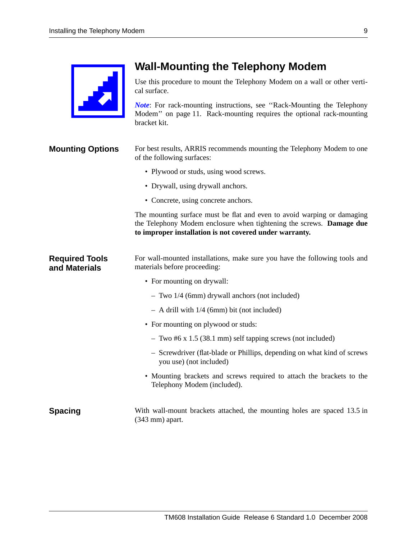

### **Wall-Mounting the Telephony Modem**

Use this procedure to mount the Telephony Modem on a wall or other vertical surface.

*Note*: For rack-mounting instructions, see "Rack-Mounting the Telephony Modem'' on page 11. Rack-mounting requires the optional rack-mounting bracket kit.

**Mounting Options** For best results, ARRIS recommends mounting the Telephony Modem to one of the following surfaces:

- Plywood or studs, using wood screws.
- Drywall, using drywall anchors.
- Concrete, using concrete anchors.

The mounting surface must be flat and even to avoid warping or damaging the Telephony Modem enclosure when tightening the screws. **Damage due to improper installation is not covered under warranty.**

**Required Tools and Materials**

For wall-mounted installations, make sure you have the following tools and materials before proceeding:

- For mounting on drywall:
	- Two 1/4 (6mm) drywall anchors (not included)
	- A drill with 1/4 (6mm) bit (not included)
- For mounting on plywood or studs:
	- Two #6x1.5 (38.1 mm) self tapping screws (not included)
	- Screwdriver (flat-blade or Phillips, depending on what kind of screws you use) (not included)
- Mounting brackets and screws required to attach the brackets to the Telephony Modem (included).

**Spacing** With wall-mount brackets attached, the mounting holes are spaced 13.5 in (343 mm) apart.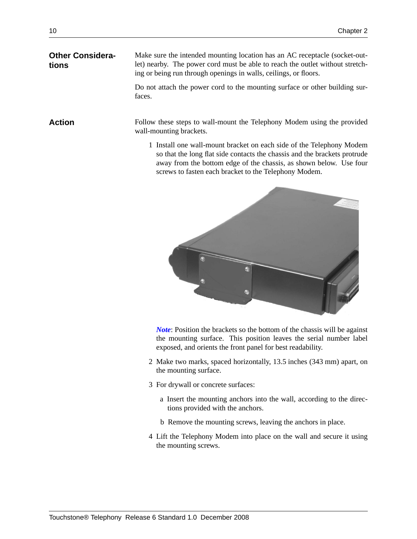### **Other Considerations**

Make sure the intended mounting location has an AC receptacle (socket-outlet) nearby. The power cord must be able to reach the outlet without stretching or being run through openings in walls, ceilings, or floors.

Do not attach the power cord to the mounting surface or other building surfaces.

**Action** Follow these steps to wall-mount the Telephony Modem using the provided wall-mounting brackets.

> 1 Install one wall-mount bracket on each side of the Telephony Modem so that the long flat side contacts the chassis and the brackets protrude away from the bottom edge of the chassis, as shown below. Use four screws to fasten each bracket to the Telephony Modem.



*Note*: Position the brackets so the bottom of the chassis will be against the mounting surface. This position leaves the serial number label exposed, and orients the front panel for best readability.

- 2 Make two marks, spaced horizontally, 13.5 inches (343 mm) apart, on the mounting surface.
- 3 For drywall or concrete surfaces:
	- a Insert the mounting anchors into the wall, according to the directions provided with the anchors.
	- b Remove the mounting screws, leaving the anchors in place.
- 4 Lift the Telephony Modem into place on the wall and secure it using the mounting screws.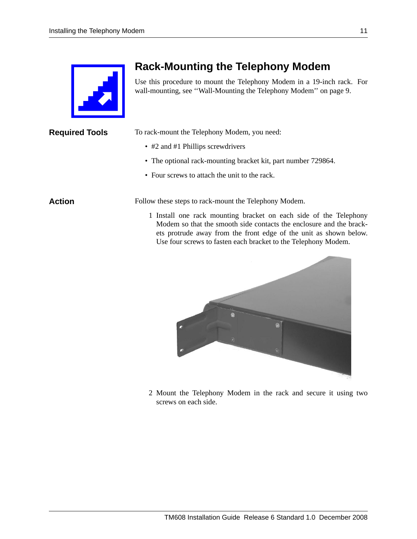

### **Rack-Mounting the Telephony Modem**

Use this procedure to mount the Telephony Modem in a 19-inch rack. For wall-mounting, see ''Wall-Mounting the Telephony Modem'' on page 9.

**Required Tools** To rack-mount the Telephony Modem, you need:

- #2 and #1 Phillips screwdrivers
- The optional rack-mounting bracket kit, part number 729864.
- Four screws to attach the unit to the rack.

**Action** Follow these steps to rack-mount the Telephony Modem.

1 Install one rack mounting bracket on each side of the Telephony Modem so that the smooth side contacts the enclosure and the brackets protrude away from the front edge of the unit as shown below. Use four screws to fasten each bracket to the Telephony Modem.



2 Mount the Telephony Modem in the rack and secure it using two screws on each side.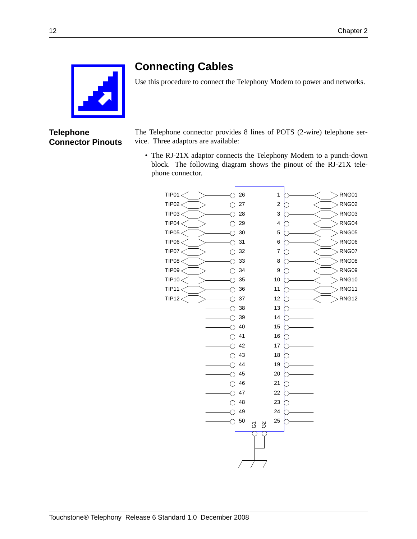

### **Telephone Connector Pinouts**

**Connecting Cables**

Use this procedure to connect the Telephony Modem to power and networks.

The Telephone connector provides 8 lines of POTS (2-wire) telephone service. Three adaptors are available:

• The RJ-21X adaptor connects the Telephony Modem to a punch-down block. The following diagram shows the pinout of the RJ-21X telephone connector.

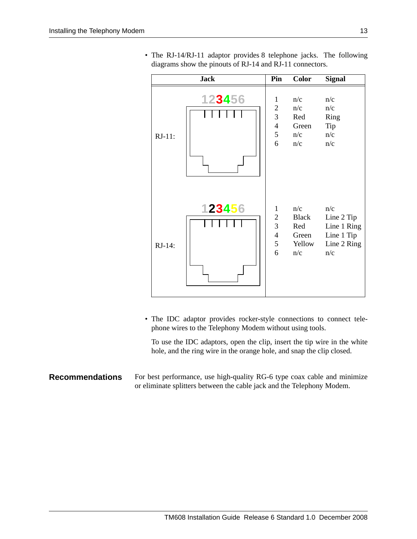|           | <b>Jack</b> | Pin                                                                                 | <b>Color</b>                                         | <b>Signal</b>                                                        |
|-----------|-------------|-------------------------------------------------------------------------------------|------------------------------------------------------|----------------------------------------------------------------------|
| $RJ-11$ : | 123456      | $\mathbf{1}$<br>$\mathbf{2}$<br>$\overline{3}$<br>$\overline{\mathbf{4}}$<br>5<br>6 | n/c<br>n/c<br>Red<br>Green<br>n/c<br>n/c             | n/c<br>n/c<br>Ring<br>Tip<br>n/c<br>n/c                              |
| RJ-14:    | 123456      | 1<br>$\overline{c}$<br>$\overline{3}$<br>$\overline{\mathbf{4}}$<br>5<br>6          | n/c<br><b>Black</b><br>Red<br>Green<br>Yellow<br>n/c | n/c<br>Line 2 Tip<br>Line 1 Ring<br>Line 1 Tip<br>Line 2 Ring<br>n/c |

• The RJ-14/RJ-11 adaptor provides 8 telephone jacks. The following diagrams show the pinouts of RJ-14 and RJ-11 connectors.

• The IDC adaptor provides rocker-style connections to connect telephone wires to the Telephony Modem without using tools.

To use the IDC adaptors, open the clip, insert the tip wire in the white hole, and the ring wire in the orange hole, and snap the clip closed.

**Recommendations** For best performance, use high-quality RG-6 type coax cable and minimize or eliminate splitters between the cable jack and the Telephony Modem.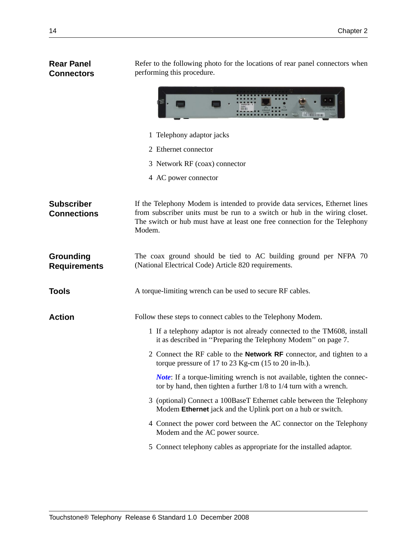### **Rear Panel Connectors**

Refer to the following photo for the locations of rear panel connectors when performing this procedure.



- 1 Telephony adaptor jacks
- 2 Ethernet connector
- 3 Network RF (coax) connector
- 4 AC power connector

**Subscriber Connections** If the Telephony Modem is intended to provide data services, Ethernet lines from subscriber units must be run to a switch or hub in the wiring closet. The switch or hub must have at least one free connection for the Telephony Modem.

- **Grounding Requirements** The coax ground should be tied to AC building ground per NFPA 70 (National Electrical Code) Article 820 requirements.
- **Tools** A torque-limiting wrench can be used to secure RF cables.

**Action** Follow these steps to connect cables to the Telephony Modem.

- 1 If a telephony adaptor is not already connected to the TM608, install it as described in ''Preparing the Telephony Modem'' on page 7.
- 2 Connect the RF cable to the **Network RF** connector, and tighten to a torque pressure of 17 to 23 Kg-cm (15 to 20 in-lb.).

*Note*: If a torque-limiting wrench is not available, tighten the connector by hand, then tighten a further 1/8 to 1/4 turn with a wrench.

- 3 (optional) Connect a 100BaseT Ethernet cable between the Telephony Modem **Ethernet** jack and the Uplink port on a hub or switch.
- 4 Connect the power cord between the AC connector on the Telephony Modem and the AC power source.
- 5 Connect telephony cables as appropriate for the installed adaptor.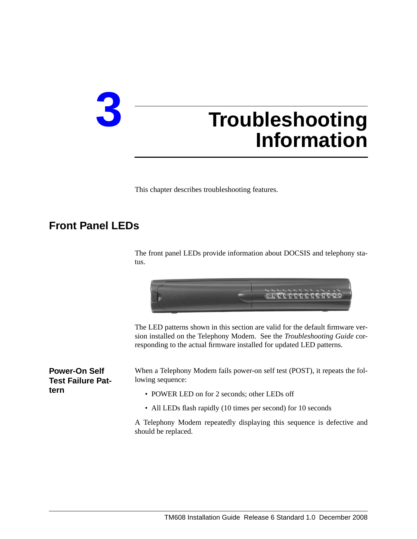

## **3 Tr oubleshooting Information**

This chapter describes troubleshooting features.

### **Front Panel LEDs**

The front panel LEDs provide information about DOCSIS and telephony status.



The LED patterns shown in this section are valid for the default firmware version installed on the Telephony Modem. See the *Troubleshooting Guide* corresponding to the actual firmware installed for updated LED patterns.

When a Telephony Modem fails power-on self test (POST), it repeats the following sequence:

- POWER LED on for 2 seconds; other LEDs off
- All LEDs flash rapidly (10 times per second) for 10 seconds

A Telephony Modem repeatedly displaying this sequence is defective and should be replaced.

### **Power-On Self Test Failure Pattern**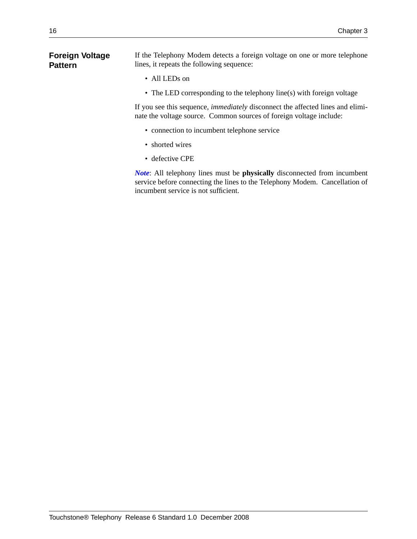### **Foreign Voltage Pattern**

If the Telephony Modem detects a foreign voltage on one or more telephone lines, it repeats the following sequence:

- All LEDs on
- The LED corresponding to the telephony line(s) with foreign voltage

If you see this sequence, *immediately* disconnect the affected lines and eliminate the voltage source. Common sources of foreign voltage include:

- connection to incumbent telephone service
- shorted wires
- defective CPE

*Note*: All telephony lines must be **physically** disconnected from incumbent service before connecting the lines to the Telephony Modem. Cancellation of incumbent service is not sufficient.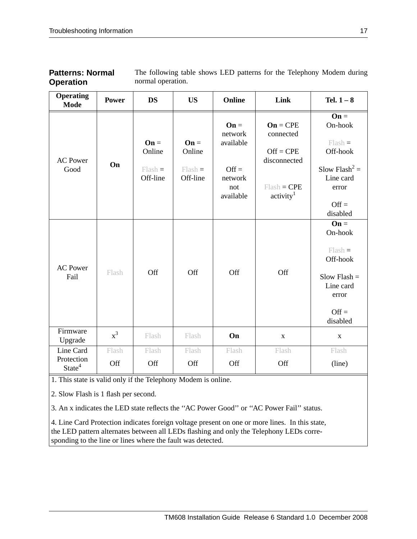| <b>Patterns: Normal</b> |  |
|-------------------------|--|
| <b>Operation</b>        |  |

| The following table shows LED patterns for the Telephony Modem during |  |  |  |  |  |
|-----------------------------------------------------------------------|--|--|--|--|--|
| normal operation.                                                     |  |  |  |  |  |

| <b>Operating</b><br><b>Mode</b>  | <b>Power</b> | <b>DS</b>                                 | <b>US</b>                                 | Online                                                                   | Link                                                                                           | Tel. $1 - 8$                                                                                                         |
|----------------------------------|--------------|-------------------------------------------|-------------------------------------------|--------------------------------------------------------------------------|------------------------------------------------------------------------------------------------|----------------------------------------------------------------------------------------------------------------------|
| <b>AC Power</b><br>Good          | On           | $On =$<br>Online<br>$Plash =$<br>Off-line | $On =$<br>Online<br>$Flash =$<br>Off-line | $On =$<br>network<br>available<br>$Off =$<br>network<br>not<br>available | $On = CPE$<br>connected<br>$Off = CPE$<br>disconnected<br>$Flash = CPE$<br>$\text{activity}^1$ | $On =$<br>On-hook<br>$Flash =$<br>Off-hook<br>Slow Flash <sup>2</sup> =<br>Line card<br>error<br>$Off =$<br>disabled |
| <b>AC Power</b><br>Fail          | Flash        | Off                                       | Off                                       | Off                                                                      | Off                                                                                            | $On =$<br>On-hook<br>$Flash =$<br>Off-hook<br>$Slow Flash =$<br>Line card<br>error<br>$Off =$<br>disabled            |
| Firmware<br>Upgrade              | $x^3$        | Flash                                     | Flash                                     | On                                                                       | $\mathbf X$                                                                                    | $\mathbf X$                                                                                                          |
| Line Card                        | Flash        | Flash                                     | Flash                                     | Flash                                                                    | Flash                                                                                          | Flash                                                                                                                |
| Protection<br>State <sup>4</sup> | Off          | Off                                       | Off                                       | Off                                                                      | Off                                                                                            | (line)                                                                                                               |

1. This state is valid only if the Telephony Modem is online.

2. Slow Flash is 1 flash per second.

3. An x indicates the LED state reflects the "AC Power Good" or "AC Power Fail" status.

4. Line Card Protection indicates foreign voltage present on one or more lines. In this state, the LED pattern alternates between all LEDs flashing and only the Telephony LEDs corresponding to the line or lines where the fault was detected.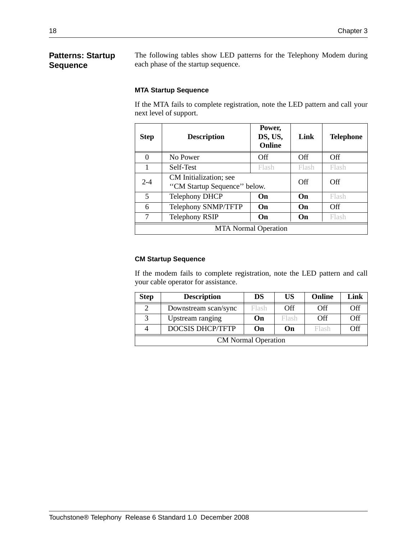### **Patterns: Startup Sequence**

The following tables show LED patterns for the Telephony Modem during each phase of the startup sequence.

### **MTA Startup Sequence**

If the MTA fails to complete registration, note the LED pattern and call your next level of support.

| <b>Step</b>                 | <b>Description</b>                                     | Power,<br>DS, US,<br>Online | Link        | <b>Telephone</b> |  |  |  |
|-----------------------------|--------------------------------------------------------|-----------------------------|-------------|------------------|--|--|--|
| 0                           | No Power                                               | Off                         | Off         | Off              |  |  |  |
|                             | Self-Test                                              | Flash                       | Flash       | Flash            |  |  |  |
| $2 - 4$                     | CM Initialization; see<br>"CM Startup Sequence" below. |                             | Off         | Off              |  |  |  |
| 5                           | <b>Telephony DHCP</b>                                  | On                          | On          | Flash            |  |  |  |
| 6                           | Telephony SNMP/TFTP                                    | On                          | On          | Off              |  |  |  |
| 7                           | <b>Telephony RSIP</b>                                  | On                          | On<br>Flash |                  |  |  |  |
| <b>MTA</b> Normal Operation |                                                        |                             |             |                  |  |  |  |

### **CM Startup Sequence**

If the modem fails to complete registration, note the LED pattern and call your cable operator for assistance.

| <b>Step</b>                | <b>Description</b>      | <b>DS</b> | US    | Online | Link |  |  |  |
|----------------------------|-------------------------|-----------|-------|--------|------|--|--|--|
| 2                          | Downstream scan/sync    | Flash     | Off   | Off    | Off  |  |  |  |
| 3                          | Upstream ranging        | On        | Flash | Off    | Off  |  |  |  |
| 4                          | <b>DOCSIS DHCP/TFTP</b> | On        | On    | Flash  | Off  |  |  |  |
| <b>CM</b> Normal Operation |                         |           |       |        |      |  |  |  |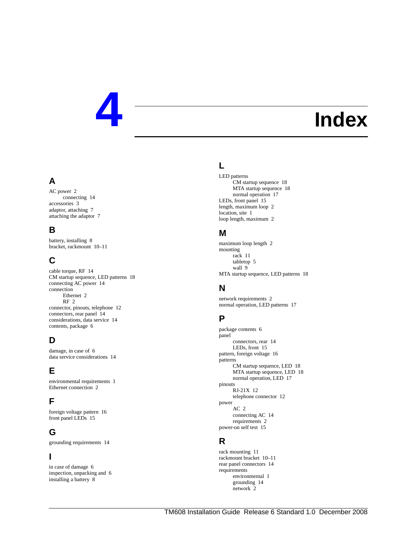# **4 Index**

### **A**

AC power 2 connecting 14 accessories 3 adaptor, attaching 7 attaching the adaptor 7

### **B**

battery, installing 8 bracket, rackmount 10–11

### **C**

cable torque, RF 14 CM startup sequence, LED patterns 18 connecting AC power 14 connection Ethernet 2 RF 2 connector, pinouts, telephone 12 connectors, rear panel 14 considerations, data service 14 contents, package 6

### **D**

damage, in case of 6 data service considerations 14

### **E**

environmental requirements 1 Ethernet connection 2

### **F**

foreign voltage pattern 16 front panel LEDs 15

### **G**

grounding requirements 14

### **I**

in case of damage 6 inspection, unpacking and 6 installing a battery 8

### **L**

LED patterns CM startup sequence 18 MTA startup sequence 18 normal operation 17 LEDs, front panel 15 length, maximum loop 2 location, site 1 loop length, maximum 2

### **M**

maximum loop length 2 mounting rack 11 tabletop 5 wall 9 MTA startup sequence, LED patterns 18

### **N**

network requirements 2 normal operation, LED patterns 17

### **P**

package contents 6 panel connectors, rear 14 LEDs, front 15 pattern, foreign voltage 16 patterns CM startup sequence, LED 18 MTA startup sequence, LED 18 normal operation, LED 17 pinouts RJ-21X 12 telephone connector 12 power AC 2 connecting AC 14 requirements 2 power-on self test 15

### **R**

rack mounting 11 rackmount bracket 10–11 rear panel connectors 14 requirements environmental 1 grounding 14 network 2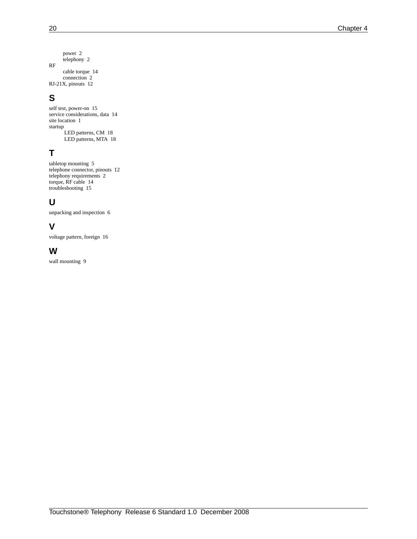power 2 telephony 2 RF cable torque 14 connection 2 RJ-21X, pinouts 12

### **S**

self test, power-on 15 service considerations, data 14 site location 1 startup LED patterns, CM 18 LED patterns, MTA 18

### **T**

tabletop mounting 5 telephone connector, pinouts 12 telephony requirements 2 torque, RF cable 14 troubleshooting 15

### **U**

unpacking and inspection 6

### **V**

voltage pattern, foreign 16

### **W**

wall mounting 9